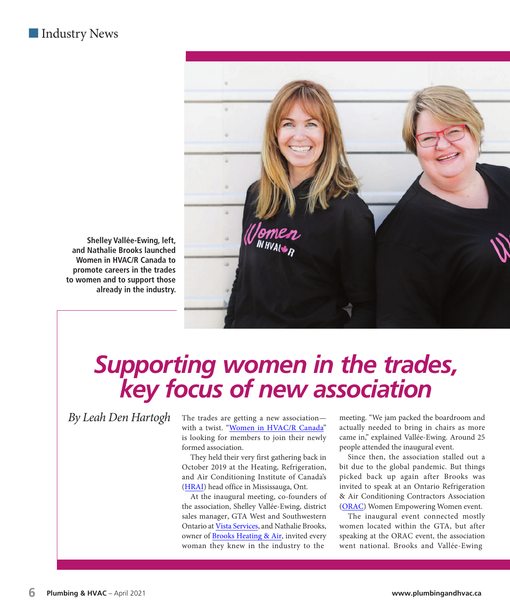## ■ Industry News



**Shelley Vallée-Ewing, left, and Nathalie Brooks launched Women in HVAC/R Canada to promote careers in the trades to women and to support those already in the industry.**

## *Supporting women in the trades, key focus of new association*

 $\delta$ 

The trades are getting a new association with a twist. ["Women in HVAC/R Canada"](https://www.womeninhvac.ca/) is looking for members to join their newly formed association.

They held their very first gathering back in October 2019 at the Heating, Refrigeration, and Air Conditioning Institute of Canada's [\(HRAI\)](https://www.hrai.ca/) head office in Mississauga, Ont.

At the inaugural meeting, co-founders of the association, Shelley Vallée-Ewing, district sales manager, GTA West and Southwestern Ontario at [Vista Services, a](https://www.vistra.com/)nd Nathalie Brooks, owner of [Brooks Heating & Air,](https://www.brooksheatingandair.ca/) invited every woman they knew in the industry to the

meeting. "We jam packed the boardroom and actually needed to bring in chairs as more came in," explained Vallée-Ewing. Around 25 people attended the inaugural event.

Since then, the association stalled out a bit due to the global pandemic. But things picked back up again after Brooks was invited to speak at an Ontario Refrigeration & Air Conditioning Contractors Association ([ORAC\)](https://orac.ca/) Women Empowering Women event.

The inaugural event connected mostly women located within the GTA, but after speaking at the ORAC event, the association went national. Brooks and Vallée-Ewing